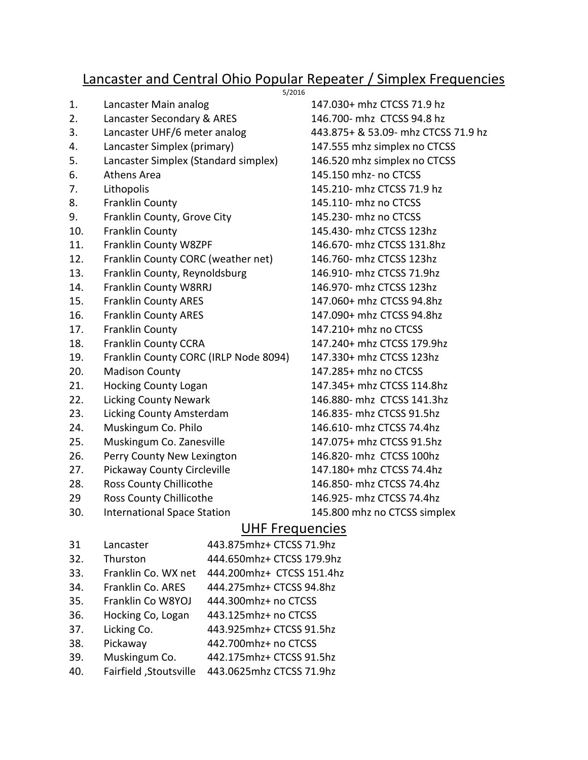## Lancaster and Central Ohio Popular Repeater / Simplex Frequencies 5/2016

- 1. Lancaster Main analog 147.030+ mhz CTCSS 71.9 hz
- 2. Lancaster Secondary & ARES 146.700- mhz CTCSS 94.8 hz
- 3. Lancaster UHF/6 meter analog 443.875+ & 53.09- mhz CTCSS 71.9 hz
- 4. Lancaster Simplex (primary) 147.555 mhz simplex no CTCSS
- 5. Lancaster Simplex (Standard simplex) 146.520 mhz simplex no CTCSS
- 
- 
- 
- 9. Franklin County, Grove City 145.230- mhz no CTCSS
- 
- 11. Franklin County W8ZPF 146.670- mhz CTCSS 131.8hz
- 12. Franklin County CORC (weather net) 146.760- mhz CTCSS 123hz
- 13. Franklin County, Reynoldsburg 146.910- mhz CTCSS 71.9hz
- 14. Franklin County W8RRJ 146.970- mhz CTCSS 123hz
- 15. Franklin County ARES 147.060+ mhz CTCSS 94.8hz
- 
- 
- 18. Franklin County CCRA 147.240+ mhz CTCSS 179.9hz
- 19. Franklin County CORC (IRLP Node 8094) 147.330+ mhz CTCSS 123hz
- 
- 21. Hocking County Logan 147.345+ mhz CTCSS 114.8hz
- 22. Licking County Newark 146.880- mhz CTCSS 141.3hz
- 23. Licking County Amsterdam 146.835- mhz CTCSS 91.5hz
- 24. Muskingum Co. Philo 146.610- mhz CTCSS 74.4hz
- 25. Muskingum Co. Zanesville 147.075+ mhz CTCSS 91.5hz
- 26. Perry County New Lexington 146.820- mhz CTCSS 100hz
- 27. Pickaway County Circleville 147.180+ mhz CTCSS 74.4hz
- 28. Ross County Chillicothe 146.850- mhz CTCSS 74.4hz
- 29 Ross County Chillicothe 146.925- mhz CTCSS 74.4hz
- 30. International Space Station 145.800 mhz no CTCSS simplex

6. Athens Area 145.150 mhz- no CTCSS 7. Lithopolis 145.210- mhz CTCSS 71.9 hz 8. Franklin County 145.110- mhz no CTCSS 10. Franklin County 145.430- mhz CTCSS 123hz 16. Franklin County ARES 147.090+ mhz CTCSS 94.8hz 17. Franklin County 147.210+ mhz no CTCSS 20. Madison County 147.285+ mhz no CTCSS

## UHF Frequencies

31 Lancaster 443.875mhz+ CTCSS 71.9hz 32. Thurston 444.650mhz+ CTCSS 179.9hz 33. Franklin Co. WX net 444.200mhz+ CTCSS 151.4hz 34. Franklin Co. ARES 444.275mhz+ CTCSS 94.8hz 35. Franklin Co W8YOJ 444.300mhz+ no CTCSS 36. Hocking Co, Logan 443.125mhz+ no CTCSS 37. Licking Co. 443.925mhz+ CTCSS 91.5hz 38. Pickaway 442.700mhz+ no CTCSS 39. Muskingum Co. 442.175mhz+ CTCSS 91.5hz 40. Fairfield ,Stoutsville 443.0625mhz CTCSS 71.9hz